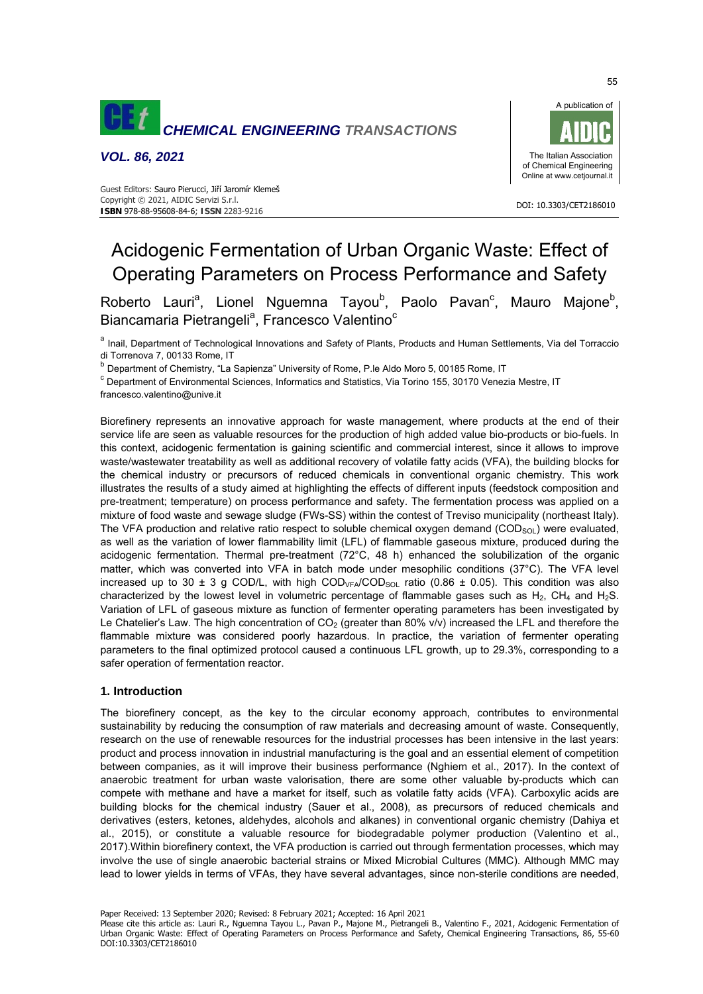

*VOL. 86, 2021* 



DOI: 10.3303/CET2186010

#### Guest Editors: Sauro Pierucci, Jiří Jaromír Klemeš Copyright © 2021, AIDIC Servizi S.r.l. **ISBN** 978-88-95608-84-6; **ISSN** 2283-9216

# Acidogenic Fermentation of Urban Organic Waste: Effect of Operating Parameters on Process Performance and Safety

Roberto Lauri<sup>a</sup>, Lionel Nguemna Tayou<sup>b</sup>, Paolo Pavan<sup>c</sup>, Mauro Majone<sup>b</sup>, Biancamaria Pietrangeli<sup>a</sup>, Francesco Valentino<sup>c</sup>

a Inail, Department of Technological Innovations and Safety of Plants, Products and Human Settlements, Via del Torraccio di Torrenova 7, 00133 Rome, IT

<sup>b</sup> Department of Chemistry, "La Sapienza" University of Rome, P.le Aldo Moro 5, 00185 Rome, IT

<sup>c</sup> Department of Environmental Sciences, Informatics and Statistics, Via Torino 155, 30170 Venezia Mestre, IT francesco.valentino@unive.it

Biorefinery represents an innovative approach for waste management, where products at the end of their service life are seen as valuable resources for the production of high added value bio-products or bio-fuels. In this context, acidogenic fermentation is gaining scientific and commercial interest, since it allows to improve waste/wastewater treatability as well as additional recovery of volatile fatty acids (VFA), the building blocks for the chemical industry or precursors of reduced chemicals in conventional organic chemistry. This work illustrates the results of a study aimed at highlighting the effects of different inputs (feedstock composition and pre-treatment; temperature) on process performance and safety. The fermentation process was applied on a mixture of food waste and sewage sludge (FWs-SS) within the contest of Treviso municipality (northeast Italy). The VFA production and relative ratio respect to soluble chemical oxygen demand  $(COD<sub>SOL</sub>)$  were evaluated, as well as the variation of lower flammability limit (LFL) of flammable gaseous mixture, produced during the acidogenic fermentation. Thermal pre-treatment (72°C, 48 h) enhanced the solubilization of the organic matter, which was converted into VFA in batch mode under mesophilic conditions (37°C). The VFA level increased up to 30  $\pm$  3 g COD/L, with high COD<sub>VFA</sub>/COD<sub>SOL</sub> ratio (0.86  $\pm$  0.05). This condition was also characterized by the lowest level in volumetric percentage of flammable gases such as  $H_2$ , CH<sub>4</sub> and H<sub>2</sub>S. Variation of LFL of gaseous mixture as function of fermenter operating parameters has been investigated by Le Chatelier's Law. The high concentration of  $CO<sub>2</sub>$  (greater than 80% v/v) increased the LFL and therefore the flammable mixture was considered poorly hazardous. In practice, the variation of fermenter operating parameters to the final optimized protocol caused a continuous LFL growth, up to 29.3%, corresponding to a safer operation of fermentation reactor.

## **1. Introduction**

The biorefinery concept, as the key to the circular economy approach, contributes to environmental sustainability by reducing the consumption of raw materials and decreasing amount of waste. Consequently, research on the use of renewable resources for the industrial processes has been intensive in the last years: product and process innovation in industrial manufacturing is the goal and an essential element of competition between companies, as it will improve their business performance (Nghiem et al., 2017). In the context of anaerobic treatment for urban waste valorisation, there are some other valuable by-products which can compete with methane and have a market for itself, such as volatile fatty acids (VFA). Carboxylic acids are building blocks for the chemical industry (Sauer et al., 2008), as precursors of reduced chemicals and derivatives (esters, ketones, aldehydes, alcohols and alkanes) in conventional organic chemistry (Dahiya et al., 2015), or constitute a valuable resource for biodegradable polymer production (Valentino et al., 2017).Within biorefinery context, the VFA production is carried out through fermentation processes, which may involve the use of single anaerobic bacterial strains or Mixed Microbial Cultures (MMC). Although MMC may lead to lower yields in terms of VFAs, they have several advantages, since non-sterile conditions are needed,

Paper Received: 13 September 2020; Revised: 8 February 2021; Accepted: 16 April 2021

Please cite this article as: Lauri R., Nguemna Tayou L., Pavan P., Majone M., Pietrangeli B., Valentino F., 2021, Acidogenic Fermentation of Urban Organic Waste: Effect of Operating Parameters on Process Performance and Safety, Chemical Engineering Transactions, 86, 55-60 DOI:10.3303/CET2186010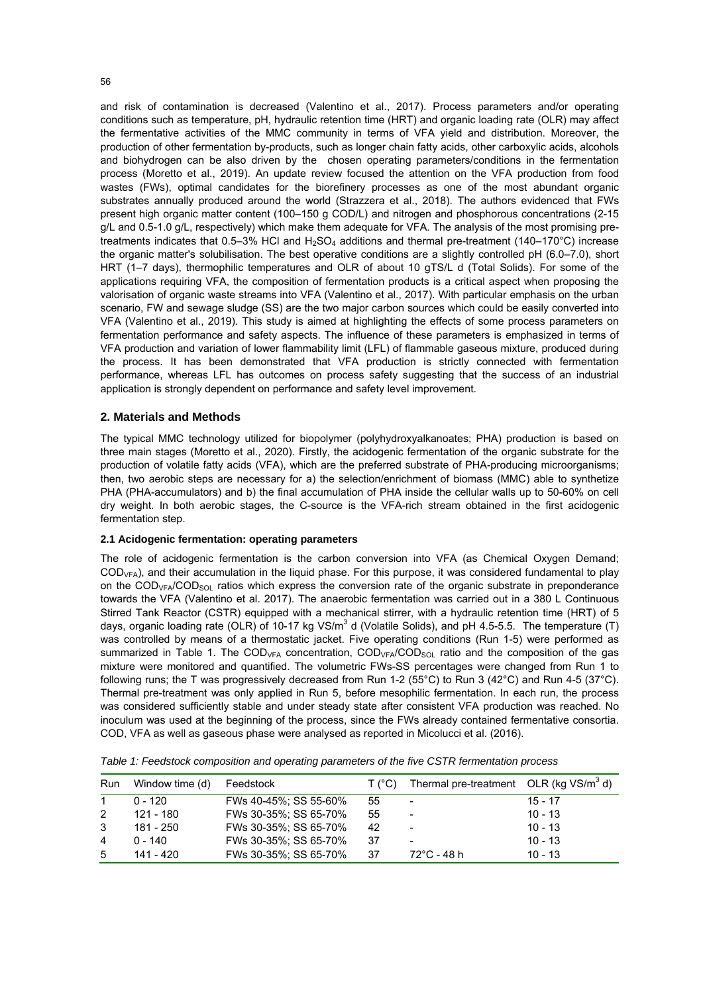and risk of contamination is decreased (Valentino et al., 2017). Process parameters and/or operating conditions such as temperature, pH, hydraulic retention time (HRT) and organic loading rate (OLR) may affect the fermentative activities of the MMC community in terms of VFA yield and distribution. Moreover, the production of other fermentation by-products, such as longer chain fatty acids, other carboxylic acids, alcohols and biohydrogen can be also driven by the chosen operating parameters/conditions in the fermentation process (Moretto et al., 2019). An update review focused the attention on the VFA production from food wastes (FWs), optimal candidates for the biorefinery processes as one of the most abundant organic substrates annually produced around the world (Strazzera et al., 2018). The authors evidenced that FWs present high organic matter content (100–150 g COD/L) and nitrogen and phosphorous concentrations (2-15 g/L and 0.5-1.0 g/L, respectively) which make them adequate for VFA. The analysis of the most promising pretreatments indicates that 0.5–3% HCl and  $H_2SO_4$  additions and thermal pre-treatment (140–170°C) increase the organic matter's solubilisation. The best operative conditions are a slightly controlled pH (6.0–7.0), short HRT (1–7 days), thermophilic temperatures and OLR of about 10 gTS/L d (Total Solids). For some of the applications requiring VFA, the composition of fermentation products is a critical aspect when proposing the valorisation of organic waste streams into VFA (Valentino et al., 2017). With particular emphasis on the urban scenario, FW and sewage sludge (SS) are the two major carbon sources which could be easily converted into

VFA (Valentino et al., 2019). This study is aimed at highlighting the effects of some process parameters on fermentation performance and safety aspects. The influence of these parameters is emphasized in terms of VFA production and variation of lower flammability limit (LFL) of flammable gaseous mixture, produced during the process. It has been demonstrated that VFA production is strictly connected with fermentation performance, whereas LFL has outcomes on process safety suggesting that the success of an industrial application is strongly dependent on performance and safety level improvement.

## **2. Materials and Methods**

The typical MMC technology utilized for biopolymer (polyhydroxyalkanoates; PHA) production is based on three main stages (Moretto et al., 2020). Firstly, the acidogenic fermentation of the organic substrate for the production of volatile fatty acids (VFA), which are the preferred substrate of PHA-producing microorganisms; then, two aerobic steps are necessary for a) the selection/enrichment of biomass (MMC) able to synthetize PHA (PHA-accumulators) and b) the final accumulation of PHA inside the cellular walls up to 50-60% on cell dry weight. In both aerobic stages, the C-source is the VFA-rich stream obtained in the first acidogenic fermentation step.

## **2.1 Acidogenic fermentation: operating parameters**

The role of acidogenic fermentation is the carbon conversion into VFA (as Chemical Oxygen Demand; CODVFA), and their accumulation in the liquid phase. For this purpose, it was considered fundamental to play on the COD<sub>VFA</sub>/COD<sub>SOL</sub> ratios which express the conversion rate of the organic substrate in preponderance towards the VFA (Valentino et al. 2017). The anaerobic fermentation was carried out in a 380 L Continuous Stirred Tank Reactor (CSTR) equipped with a mechanical stirrer, with a hydraulic retention time (HRT) of 5 days, organic loading rate (OLR) of 10-17 kg VS/m<sup>3</sup> d (Volatile Solids), and pH 4.5-5.5. The temperature (T) was controlled by means of a thermostatic jacket. Five operating conditions (Run 1-5) were performed as summarized in Table 1. The COD<sub>VFA</sub> concentration, COD<sub>VFA</sub>/COD<sub>SOL</sub> ratio and the composition of the gas mixture were monitored and quantified. The volumetric FWs-SS percentages were changed from Run 1 to following runs; the T was progressively decreased from Run 1-2 (55°C) to Run 3 (42°C) and Run 4-5 (37°C). Thermal pre-treatment was only applied in Run 5, before mesophilic fermentation. In each run, the process was considered sufficiently stable and under steady state after consistent VFA production was reached. No inoculum was used at the beginning of the process, since the FWs already contained fermentative consortia. COD, VFA as well as gaseous phase were analysed as reported in Micolucci et al. (2016).

| Run | Window time (d) | Feedstock             | T (°C) | Thermal pre-treatment OLR (kg $VS/m^3$ d) |           |
|-----|-----------------|-----------------------|--------|-------------------------------------------|-----------|
|     | $0 - 120$       | FWs 40-45%; SS 55-60% | 55     | -                                         | $15 - 17$ |
| 2   | 121 - 180       | FWs 30-35%; SS 65-70% | 55     | -                                         | $10 - 13$ |
| 3   | 181 - 250       | FWs 30-35%; SS 65-70% | 42     | -                                         | $10 - 13$ |
| 4   | $0 - 140$       | FWs 30-35%; SS 65-70% | 37     | -                                         | $10 - 13$ |
| 5   | 141 - 420       | FWs 30-35%; SS 65-70% | 37     | 72°C - 48 h                               | $10 - 13$ |

*Table 1: Feedstock composition and operating parameters of the five CSTR fermentation process*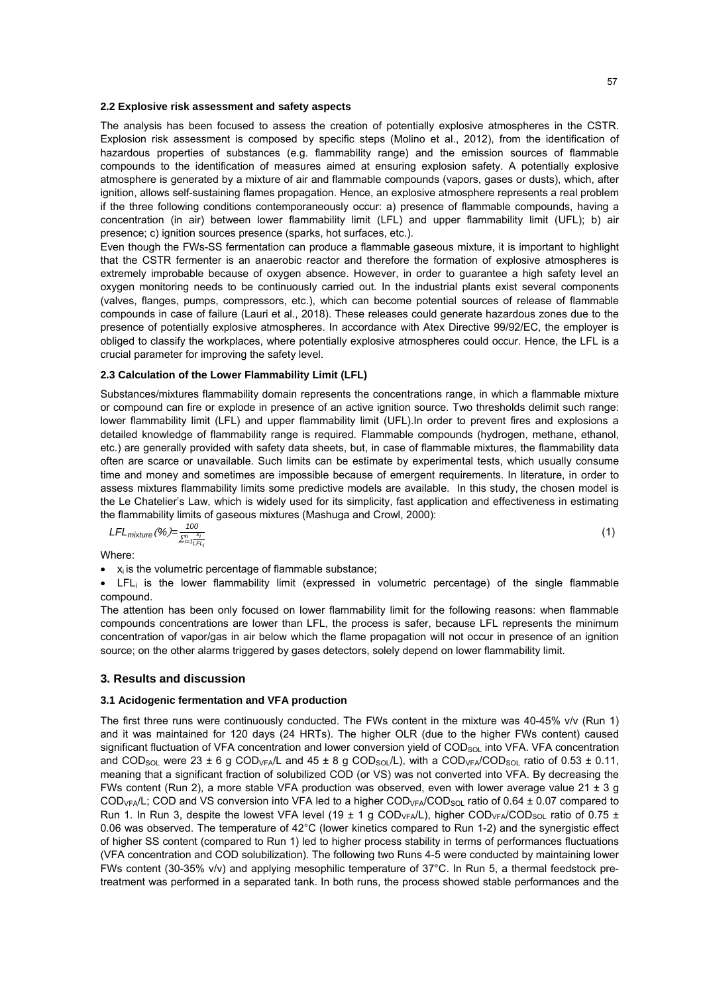#### **2.2 Explosive risk assessment and safety aspects**

The analysis has been focused to assess the creation of potentially explosive atmospheres in the CSTR. Explosion risk assessment is composed by specific steps (Molino et al., 2012), from the identification of hazardous properties of substances (e.g. flammability range) and the emission sources of flammable compounds to the identification of measures aimed at ensuring explosion safety. A potentially explosive atmosphere is generated by a mixture of air and flammable compounds (vapors, gases or dusts), which, after ignition, allows self-sustaining flames propagation. Hence, an explosive atmosphere represents a real problem if the three following conditions contemporaneously occur: a) presence of flammable compounds, having a concentration (in air) between lower flammability limit (LFL) and upper flammability limit (UFL); b) air presence; c) ignition sources presence (sparks, hot surfaces, etc.).

Even though the FWs-SS fermentation can produce a flammable gaseous mixture, it is important to highlight that the CSTR fermenter is an anaerobic reactor and therefore the formation of explosive atmospheres is extremely improbable because of oxygen absence. However, in order to guarantee a high safety level an oxygen monitoring needs to be continuously carried out. In the industrial plants exist several components (valves, flanges, pumps, compressors, etc.), which can become potential sources of release of flammable compounds in case of failure (Lauri et al., 2018). These releases could generate hazardous zones due to the presence of potentially explosive atmospheres. In accordance with Atex Directive 99/92/EC, the employer is obliged to classify the workplaces, where potentially explosive atmospheres could occur. Hence, the LFL is a crucial parameter for improving the safety level.

## **2.3 Calculation of the Lower Flammability Limit (LFL)**

Substances/mixtures flammability domain represents the concentrations range, in which a flammable mixture or compound can fire or explode in presence of an active ignition source. Two thresholds delimit such range: lower flammability limit (LFL) and upper flammability limit (UFL).In order to prevent fires and explosions a detailed knowledge of flammability range is required. Flammable compounds (hydrogen, methane, ethanol, etc.) are generally provided with safety data sheets, but, in case of flammable mixtures, the flammability data often are scarce or unavailable. Such limits can be estimate by experimental tests, which usually consume time and money and sometimes are impossible because of emergent requirements. In literature, in order to assess mixtures flammability limits some predictive models are available. In this study, the chosen model is the Le Chatelier's Law, which is widely used for its simplicity, fast application and effectiveness in estimating the flammability limits of gaseous mixtures (Mashuga and Crowl, 2000):

$$
LFL_{mixture}(%) = \frac{100}{\sum_{i=1}^{n} \sum_{i=1}^{x_i}}
$$
 (1)

Where:

$$
\bullet
$$
  $x_i$  is the volumetric percentage of flammable substance;

• LFLi is the lower flammability limit (expressed in volumetric percentage) of the single flammable compound.

The attention has been only focused on lower flammability limit for the following reasons: when flammable compounds concentrations are lower than LFL, the process is safer, because LFL represents the minimum concentration of vapor/gas in air below which the flame propagation will not occur in presence of an ignition source; on the other alarms triggered by gases detectors, solely depend on lower flammability limit.

## **3. Results and discussion**

## **3.1 Acidogenic fermentation and VFA production**

The first three runs were continuously conducted. The FWs content in the mixture was 40-45% v/v (Run 1) and it was maintained for 120 days (24 HRTs). The higher OLR (due to the higher FWs content) caused significant fluctuation of VFA concentration and lower conversion yield of COD<sub>SOL</sub> into VFA. VFA concentration and COD<sub>SOL</sub> were 23 ± 6 g COD<sub>VFA</sub>/L and 45 ± 8 g COD<sub>SOL</sub>/L), with a COD<sub>VFA</sub>/COD<sub>SOL</sub> ratio of 0.53 ± 0.11, meaning that a significant fraction of solubilized COD (or VS) was not converted into VFA. By decreasing the FWs content (Run 2), a more stable VFA production was observed, even with lower average value 21  $\pm$  3 g  $\text{COD}_{\text{VFA}}/L$ ; COD and VS conversion into VFA led to a higher  $\text{COD}_{\text{VFA}}/\text{COD}_{\text{SOL}}$  ratio of 0.64 ± 0.07 compared to Run 1. In Run 3, despite the lowest VFA level (19  $\pm$  1 g COD<sub>VFA</sub>/L), higher COD<sub>VFA</sub>/COD<sub>SOL</sub> ratio of 0.75  $\pm$ 0.06 was observed. The temperature of 42°C (lower kinetics compared to Run 1-2) and the synergistic effect of higher SS content (compared to Run 1) led to higher process stability in terms of performances fluctuations (VFA concentration and COD solubilization). The following two Runs 4-5 were conducted by maintaining lower FWs content (30-35% v/v) and applying mesophilic temperature of 37°C. In Run 5, a thermal feedstock pretreatment was performed in a separated tank. In both runs, the process showed stable performances and the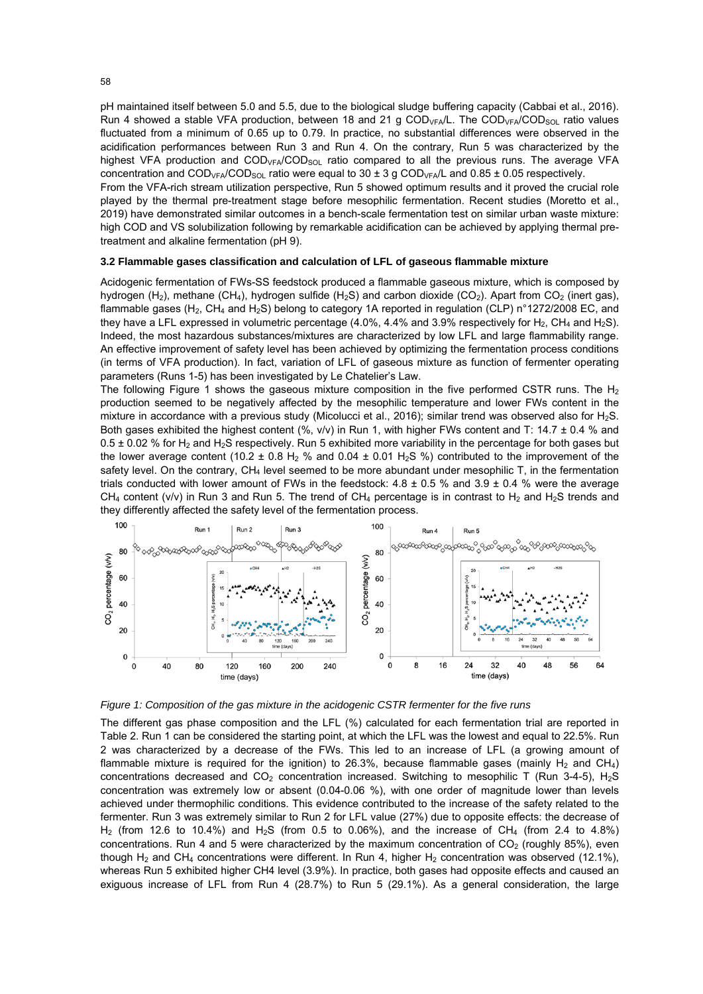pH maintained itself between 5.0 and 5.5, due to the biological sludge buffering capacity (Cabbai et al., 2016). Run 4 showed a stable VFA production, between 18 and 21 g  $COD<sub>VFA</sub>/L$ . The  $COD<sub>VFA</sub>/COD<sub>SOL</sub>$  ratio values fluctuated from a minimum of 0.65 up to 0.79. In practice, no substantial differences were observed in the acidification performances between Run 3 and Run 4. On the contrary, Run 5 was characterized by the highest VFA production and COD<sub>VFA</sub>/COD<sub>SOL</sub> ratio compared to all the previous runs. The average VFA concentration and  $\text{COD}_{\text{VFA}}/\text{COD}_{\text{SOL}}$  ratio were equal to 30 ± 3 g  $\text{COD}_{\text{VFA}}/\text{L}$  and 0.85 ± 0.05 respectively.

From the VFA-rich stream utilization perspective, Run 5 showed optimum results and it proved the crucial role played by the thermal pre-treatment stage before mesophilic fermentation. Recent studies (Moretto et al., 2019) have demonstrated similar outcomes in a bench-scale fermentation test on similar urban waste mixture: high COD and VS solubilization following by remarkable acidification can be achieved by applying thermal pretreatment and alkaline fermentation (pH 9).

#### **3.2 Flammable gases classification and calculation of LFL of gaseous flammable mixture**

Acidogenic fermentation of FWs-SS feedstock produced a flammable gaseous mixture, which is composed by hydrogen (H<sub>2</sub>), methane (CH<sub>4</sub>), hydrogen sulfide (H<sub>2</sub>S) and carbon dioxide (CO<sub>2</sub>). Apart from CO<sub>2</sub> (inert gas), flammable gases (H<sub>2</sub>, CH<sub>4</sub> and H<sub>2</sub>S) belong to category 1A reported in regulation (CLP) n°1272/2008 EC, and they have a LFL expressed in volumetric percentage (4.0%, 4.4% and 3.9% respectively for H<sub>2</sub>, CH<sub>4</sub> and H<sub>2</sub>S). Indeed, the most hazardous substances/mixtures are characterized by low LFL and large flammability range. An effective improvement of safety level has been achieved by optimizing the fermentation process conditions (in terms of VFA production). In fact, variation of LFL of gaseous mixture as function of fermenter operating parameters (Runs 1-5) has been investigated by Le Chatelier's Law.

The following Figure 1 shows the gaseous mixture composition in the five performed CSTR runs. The  $H_2$ production seemed to be negatively affected by the mesophilic temperature and lower FWs content in the mixture in accordance with a previous study (Micolucci et al., 2016); similar trend was observed also for H<sub>2</sub>S. Both gases exhibited the highest content (%, v/v) in Run 1, with higher FWs content and T: 14.7 ± 0.4 % and 0.5  $\pm$  0.02 % for H<sub>2</sub> and H<sub>2</sub>S respectively. Run 5 exhibited more variability in the percentage for both gases but the lower average content (10.2  $\pm$  0.8 H<sub>2</sub> % and 0.04  $\pm$  0.01 H<sub>2</sub>S %) contributed to the improvement of the safety level. On the contrary, CH<sub>4</sub> level seemed to be more abundant under mesophilic T, in the fermentation trials conducted with lower amount of FWs in the feedstock:  $4.8 \pm 0.5$  % and  $3.9 \pm 0.4$  % were the average CH<sub>4</sub> content (v/v) in Run 3 and Run 5. The trend of CH<sub>4</sub> percentage is in contrast to H<sub>2</sub> and H<sub>2</sub>S trends and they differently affected the safety level of the fermentation process.



*Figure 1: Composition of the gas mixture in the acidogenic CSTR fermenter for the five runs* 

The different gas phase composition and the LFL (%) calculated for each fermentation trial are reported in Table 2. Run 1 can be considered the starting point, at which the LFL was the lowest and equal to 22.5%. Run 2 was characterized by a decrease of the FWs. This led to an increase of LFL (a growing amount of flammable mixture is required for the ignition) to 26.3%, because flammable gases (mainly  $H_2$  and CH<sub>4</sub>) concentrations decreased and  $CO<sub>2</sub>$  concentration increased. Switching to mesophilic T (Run 3-4-5), H<sub>2</sub>S concentration was extremely low or absent (0.04-0.06 %), with one order of magnitude lower than levels achieved under thermophilic conditions. This evidence contributed to the increase of the safety related to the fermenter. Run 3 was extremely similar to Run 2 for LFL value (27%) due to opposite effects: the decrease of  $H<sub>2</sub>$  (from 12.6 to 10.4%) and  $H<sub>2</sub>S$  (from 0.5 to 0.06%), and the increase of CH<sub>4</sub> (from 2.4 to 4.8%) concentrations. Run 4 and 5 were characterized by the maximum concentration of  $CO<sub>2</sub>$  (roughly 85%), even though H<sub>2</sub> and CH<sub>4</sub> concentrations were different. In Run 4, higher H<sub>2</sub> concentration was observed (12.1%), whereas Run 5 exhibited higher CH4 level (3.9%). In practice, both gases had opposite effects and caused an exiguous increase of LFL from Run 4 (28.7%) to Run 5 (29.1%). As a general consideration, the large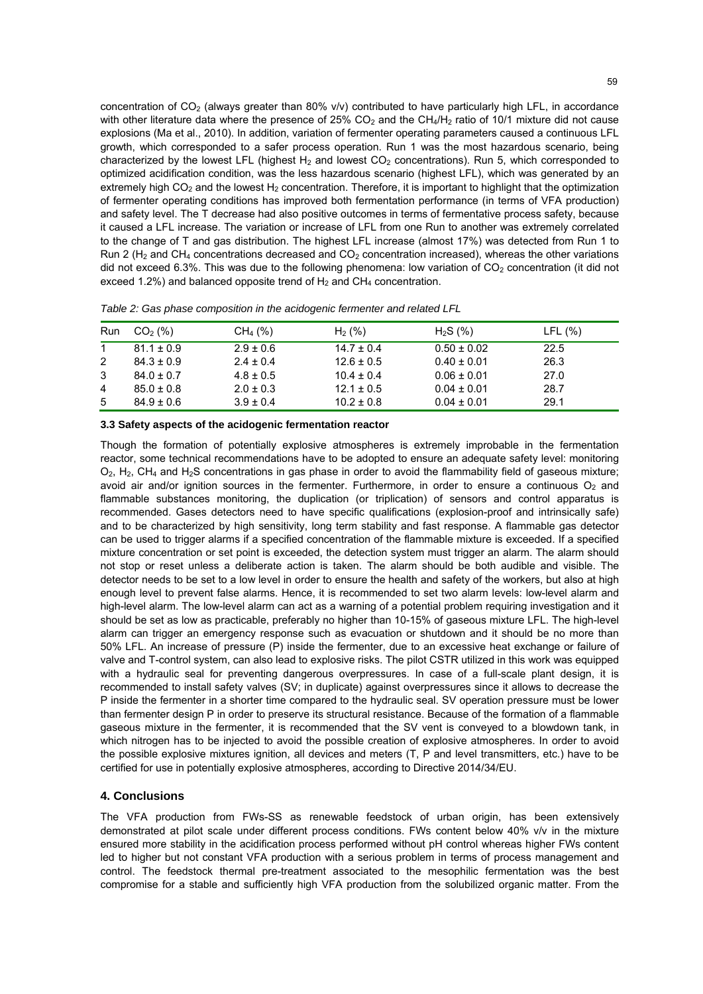concentration of  $CO<sub>2</sub>$  (always greater than 80% v/v) contributed to have particularly high LFL, in accordance with other literature data where the presence of 25%  $CO<sub>2</sub>$  and the CH<sub>4</sub>/H<sub>2</sub> ratio of 10/1 mixture did not cause explosions (Ma et al., 2010). In addition, variation of fermenter operating parameters caused a continuous LFL growth, which corresponded to a safer process operation. Run 1 was the most hazardous scenario, being characterized by the lowest LFL (highest  $H_2$  and lowest  $CO_2$  concentrations). Run 5, which corresponded to optimized acidification condition, was the less hazardous scenario (highest LFL), which was generated by an extremely high  $CO<sub>2</sub>$  and the lowest H<sub>2</sub> concentration. Therefore, it is important to highlight that the optimization of fermenter operating conditions has improved both fermentation performance (in terms of VFA production) and safety level. The T decrease had also positive outcomes in terms of fermentative process safety, because it caused a LFL increase. The variation or increase of LFL from one Run to another was extremely correlated to the change of T and gas distribution. The highest LFL increase (almost 17%) was detected from Run 1 to Run 2 ( $H_2$  and CH<sub>4</sub> concentrations decreased and CO<sub>2</sub> concentration increased), whereas the other variations did not exceed 6.3%. This was due to the following phenomena: low variation of  $CO<sub>2</sub>$  concentration (it did not exceed 1.2%) and balanced opposite trend of  $H_2$  and CH<sub>4</sub> concentration.

| Run         | CO <sub>2</sub> (%) | $CH_4 (%)$    | $H_2(%)$       | $H_2S(%)$       | LFL(%) |  |
|-------------|---------------------|---------------|----------------|-----------------|--------|--|
| $\mathbf 1$ | $81.1 \pm 0.9$      | $2.9 \pm 0.6$ | $14.7 \pm 0.4$ | $0.50 \pm 0.02$ | 22.5   |  |
| 2           | $84.3 \pm 0.9$      | $2.4 \pm 0.4$ | $12.6 \pm 0.5$ | $0.40 \pm 0.01$ | 26.3   |  |
| 3           | $84.0 \pm 0.7$      | $4.8 \pm 0.5$ | $10.4 \pm 0.4$ | $0.06 \pm 0.01$ | 27.0   |  |
| 4           | $85.0 \pm 0.8$      | $2.0 \pm 0.3$ | $12.1 \pm 0.5$ | $0.04 \pm 0.01$ | 28.7   |  |
| 5           | $84.9 \pm 0.6$      | $3.9 \pm 0.4$ | $10.2 \pm 0.8$ | $0.04 \pm 0.01$ | 29.1   |  |

| Table 2: Gas phase composition in the acidogenic fermenter and related LFL |  |  |  |
|----------------------------------------------------------------------------|--|--|--|
|                                                                            |  |  |  |

**3.3 Safety aspects of the acidogenic fermentation reactor** 

Though the formation of potentially explosive atmospheres is extremely improbable in the fermentation reactor, some technical recommendations have to be adopted to ensure an adequate safety level: monitoring  $O_2$ ,  $H_2$ , CH<sub>4</sub> and H<sub>2</sub>S concentrations in gas phase in order to avoid the flammability field of gaseous mixture; avoid air and/or ignition sources in the fermenter. Furthermore, in order to ensure a continuous  $O<sub>2</sub>$  and flammable substances monitoring, the duplication (or triplication) of sensors and control apparatus is recommended. Gases detectors need to have specific qualifications (explosion-proof and intrinsically safe) and to be characterized by high sensitivity, long term stability and fast response. A flammable gas detector can be used to trigger alarms if a specified concentration of the flammable mixture is exceeded. If a specified mixture concentration or set point is exceeded, the detection system must trigger an alarm. The alarm should not stop or reset unless a deliberate action is taken. The alarm should be both audible and visible. The detector needs to be set to a low level in order to ensure the health and safety of the workers, but also at high enough level to prevent false alarms. Hence, it is recommended to set two alarm levels: low-level alarm and high-level alarm. The low-level alarm can act as a warning of a potential problem requiring investigation and it should be set as low as practicable, preferably no higher than 10-15% of gaseous mixture LFL. The high-level alarm can trigger an emergency response such as evacuation or shutdown and it should be no more than 50% LFL. An increase of pressure (P) inside the fermenter, due to an excessive heat exchange or failure of valve and T-control system, can also lead to explosive risks. The pilot CSTR utilized in this work was equipped with a hydraulic seal for preventing dangerous overpressures. In case of a full-scale plant design, it is recommended to install safety valves (SV; in duplicate) against overpressures since it allows to decrease the P inside the fermenter in a shorter time compared to the hydraulic seal. SV operation pressure must be lower than fermenter design P in order to preserve its structural resistance. Because of the formation of a flammable gaseous mixture in the fermenter, it is recommended that the SV vent is conveyed to a blowdown tank, in which nitrogen has to be injected to avoid the possible creation of explosive atmospheres. In order to avoid the possible explosive mixtures ignition, all devices and meters (T, P and level transmitters, etc.) have to be certified for use in potentially explosive atmospheres, according to Directive 2014/34/EU.

## **4. Conclusions**

The VFA production from FWs-SS as renewable feedstock of urban origin, has been extensively demonstrated at pilot scale under different process conditions. FWs content below 40% v/v in the mixture ensured more stability in the acidification process performed without pH control whereas higher FWs content led to higher but not constant VFA production with a serious problem in terms of process management and control. The feedstock thermal pre-treatment associated to the mesophilic fermentation was the best compromise for a stable and sufficiently high VFA production from the solubilized organic matter. From the